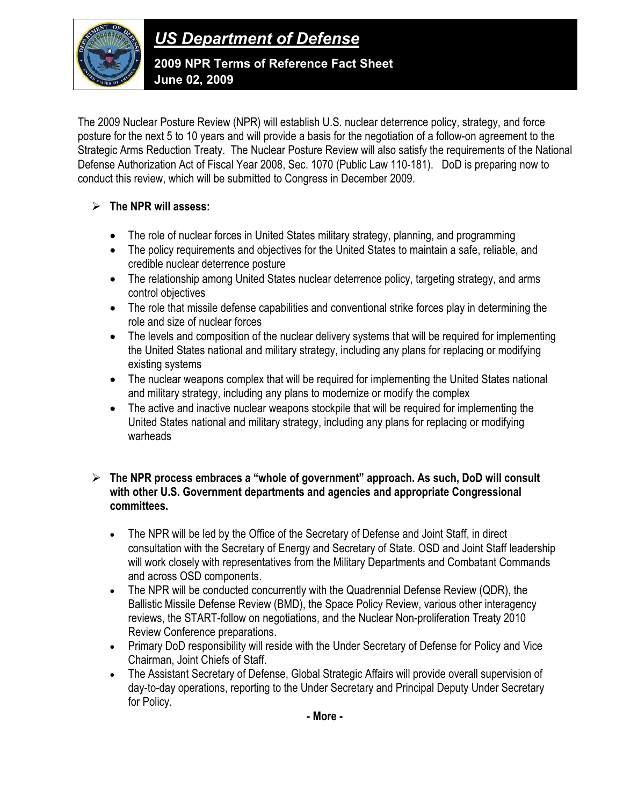

*US Department of Defense*

 **2009 NPR Terms of Reference Fact Sheet June 02, 2009**

The 2009 Nuclear Posture Review (NPR) will establish U.S. nuclear deterrence policy, strategy, and force posture for the next 5 to 10 years and will provide a basis for the negotiation of a follow-on agreement to the Strategic Arms Reduction Treaty. The Nuclear Posture Review will also satisfy the requirements of the National Defense Authorization Act of Fiscal Year 2008, Sec. 1070 (Public Law 110-181). DoD is preparing now to conduct this review, which will be submitted to Congress in December 2009.

## - **The NPR will assess:**

- The role of nuclear forces in United States military strategy, planning, and programming
- The policy requirements and objectives for the United States to maintain a safe, reliable, and credible nuclear deterrence posture
- The relationship among United States nuclear deterrence policy, targeting strategy, and arms control objectives
- The role that missile defense capabilities and conventional strike forces play in determining the role and size of nuclear forces
- The levels and composition of the nuclear delivery systems that will be required for implementing the United States national and military strategy, including any plans for replacing or modifying existing systems
- The nuclear weapons complex that will be required for implementing the United States national and military strategy, including any plans to modernize or modify the complex
- The active and inactive nuclear weapons stockpile that will be required for implementing the United States national and military strategy, including any plans for replacing or modifying warheads

## - **The NPR process embraces a "whole of government" approach. As such, DoD will consult with other U.S. Government departments and agencies and appropriate Congressional committees.**

- $\bullet$  The NPR will be led by the Office of the Secretary of Defense and Joint Staff, in direct consultation with the Secretary of Energy and Secretary of State. OSD and Joint Staff leadership will work closely with representatives from the Military Departments and Combatant Commands and across OSD components.
- $\bullet$  The NPR will be conducted concurrently with the Quadrennial Defense Review (QDR), the Ballistic Missile Defense Review (BMD), the Space Policy Review, various other interagency reviews, the START-follow on negotiations, and the Nuclear Non-proliferation Treaty 2010 Review Conference preparations.
- Primary DoD responsibility will reside with the Under Secretary of Defense for Policy and Vice Chairman, Joint Chiefs of Staff.
- The Assistant Secretary of Defense, Global Strategic Affairs will provide overall supervision of day-to-day operations, reporting to the Under Secretary and Principal Deputy Under Secretary for Policy.

**- More -**